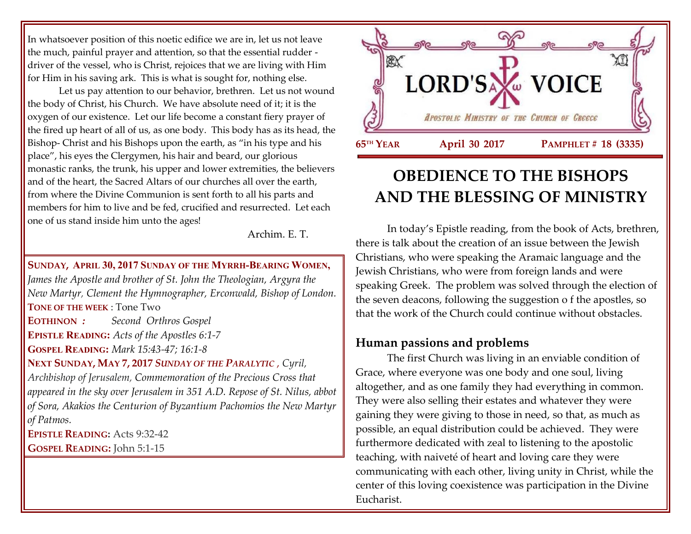In whatsoever position of this noetic edifice we are in, let us not leave the much, painful prayer and attention, so that the essential rudder driver of the vessel, who is Christ, rejoices that we are living with Him for Him in his saving ark. This is what is sought for, nothing else.

Let us pay attention to our behavior, brethren. Let us not wound the body of Christ, his Church. We have absolute need of it; it is the oxygen of our existence. Let our life become a constant fiery prayer of the fired up heart of all of us, as one body. This body has as its head, the Bishop- Christ and his Bishops upon the earth, as "in his type and his place", his eyes the Clergymen, his hair and beard, our glorious monastic ranks, the trunk, his upper and lower extremities, the believers and of the heart, the Sacred Altars of our churches all over the earth, from where the Divine Communion is sent forth to all his parts and members for him to live and be fed, crucified and resurrected. Let each one of us stand inside him unto the ages!

Archim. E. T.

**SUNDAY, APRIL 30, 2017 SUNDAY OF THE MYRRH-BEARING WOMEN,**  *James the Apostle and brother of St. John the Theologian, Argyra the New Martyr, Clement the Hymnographer, Erconwald, Bishop of London.* **TONE OF THE WEEK** : Tone Two **EOTHINON** *: Second Orthros Gospel* **EPISTLE READING:** *Acts of the Apostles 6:1-7* **GOSPEL READING:** *Mark 15:43-47; 16:1-8* **NEXT SUNDAY, MAY 7, 2017** *S[UNDAY OF THE](https://www.goarch.org/chapel/saints?contentid=856&PCode=3PS&D=S&date=5/7/2017) PARALYTIC* , *Cyril, Archbishop of Jerusalem, Commemoration of the Precious Cross that* 

*appeared in the sky over Jerusalem in 351 A.D. Repose of St. Nilus, abbot of Sora, Akakios the Centurion of Byzantium Pachomios the New Martyr of Patmos.*

**EPISTLE READING:** Acts 9:32-42

**GOSPEL READING:** John 5:1-15



# **OBEDIENCE TO THE BISHOPS AND THE BLESSING OF MINISTRY**

In today's Epistle reading, from the book of Acts, brethren, there is talk about the creation of an issue between the Jewish Christians, who were speaking the Aramaic language and the Jewish Christians, who were from foreign lands and were speaking Greek. The problem was solved through the election of the seven deacons, following the suggestion o f the apostles, so that the work of the Church could continue without obstacles.

## **Human passions and problems**

The first Church was living in an enviable condition of Grace, where everyone was one body and one soul, living altogether, and as one family they had everything in common. They were also selling their estates and whatever they were gaining they were giving to those in need, so that, as much as possible, an equal distribution could be achieved. They were furthermore dedicated with zeal to listening to the apostolic teaching, with naiveté of heart and loving care they were communicating with each other, living unity in Christ, while the center of this loving coexistence was participation in the Divine Eucharist.